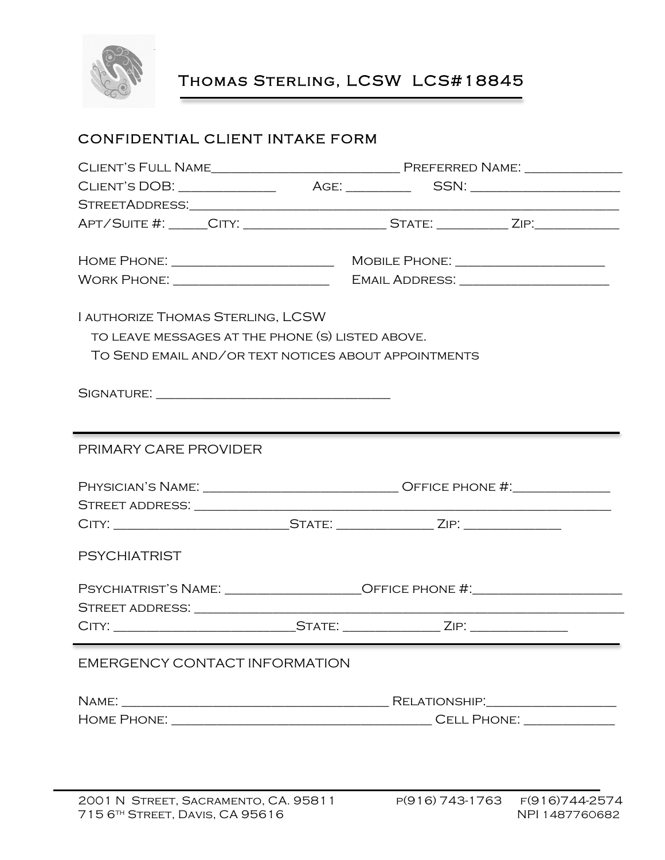

Thomas Sterling, LCSW LCS#18845

## CONFIDENTIAL CLIENT INTAKE FORM

|                                                                                                      | APT/SUITE #: _____CITY: _______________________STATE: __________ZIP:____________ |  |  |
|------------------------------------------------------------------------------------------------------|----------------------------------------------------------------------------------|--|--|
|                                                                                                      |                                                                                  |  |  |
|                                                                                                      | MOBILE PHONE: _____________________                                              |  |  |
| WORK PHONE: _________________________                                                                |                                                                                  |  |  |
|                                                                                                      |                                                                                  |  |  |
| I AUTHORIZE THOMAS STERLING, LCSW                                                                    |                                                                                  |  |  |
| TO LEAVE MESSAGES AT THE PHONE (S) LISTED ABOVE.                                                     |                                                                                  |  |  |
| TO SEND EMAIL AND/OR TEXT NOTICES ABOUT APPOINTMENTS                                                 |                                                                                  |  |  |
|                                                                                                      |                                                                                  |  |  |
|                                                                                                      |                                                                                  |  |  |
|                                                                                                      |                                                                                  |  |  |
|                                                                                                      |                                                                                  |  |  |
| PRIMARY CARE PROVIDER                                                                                |                                                                                  |  |  |
|                                                                                                      |                                                                                  |  |  |
|                                                                                                      | PHYSICIAN'S NAME: __________________________________OFFICE PHONE #:_____________ |  |  |
| CITY: ___________________________________STATE: _____________________ZIP: __________________________ |                                                                                  |  |  |
|                                                                                                      |                                                                                  |  |  |
| <b>PSYCHIATRIST</b>                                                                                  |                                                                                  |  |  |
|                                                                                                      |                                                                                  |  |  |
|                                                                                                      | PSYCHIATRIST'S NAME: __________________OFFICE PHONE #:__________________________ |  |  |
|                                                                                                      |                                                                                  |  |  |
|                                                                                                      |                                                                                  |  |  |
|                                                                                                      |                                                                                  |  |  |
| EMERGENCY CONTACT INFORMATION                                                                        |                                                                                  |  |  |
|                                                                                                      |                                                                                  |  |  |
|                                                                                                      |                                                                                  |  |  |
|                                                                                                      |                                                                                  |  |  |
|                                                                                                      |                                                                                  |  |  |
|                                                                                                      |                                                                                  |  |  |